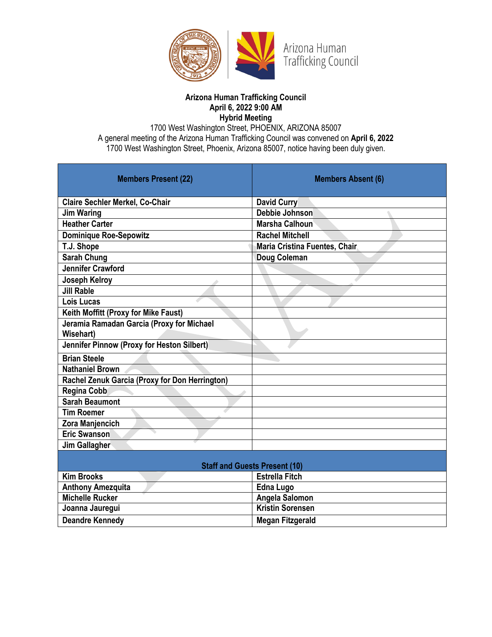

### **Arizona Human Trafficking Council April 6, 2022 9:00 AM Hybrid Meeting**

1700 West Washington Street, PHOENIX, ARIZONA 85007 A general meeting of the Arizona Human Trafficking Council was convened on **April 6, 2022**  1700 West Washington Street, Phoenix, Arizona 85007, notice having been duly given.

| <b>Members Present (22)</b>                    | <b>Members Absent (6)</b>      |
|------------------------------------------------|--------------------------------|
| <b>Claire Sechler Merkel, Co-Chair</b>         | <b>David Curry</b>             |
| <b>Jim Waring</b>                              | Debbie Johnson                 |
| <b>Heather Carter</b>                          | Marsha Calhoun                 |
| <b>Dominique Roe-Sepowitz</b>                  | <b>Rachel Mitchell</b>         |
| T.J. Shope                                     | Maria Cristina Fuentes, Chair, |
| <b>Sarah Chung</b>                             | Doug Coleman                   |
| <b>Jennifer Crawford</b>                       |                                |
| <b>Joseph Kelroy</b>                           |                                |
| <b>Jill Rable</b>                              |                                |
| Lois Lucas                                     |                                |
| Keith Moffitt (Proxy for Mike Faust)           |                                |
| Jeramia Ramadan Garcia (Proxy for Michael      |                                |
| Wisehart)                                      |                                |
| Jennifer Pinnow (Proxy for Heston Silbert)     |                                |
| <b>Brian Steele</b>                            |                                |
| <b>Nathaniel Brown</b>                         |                                |
| Rachel Zenuk Garcia (Proxy for Don Herrington) |                                |
| <b>Regina Cobb</b>                             |                                |
| <b>Sarah Beaumont</b>                          |                                |
| <b>Tim Roemer</b>                              |                                |
| Zora Manjencich                                |                                |
| <b>Eric Swanson</b>                            |                                |
| Jim Gallagher                                  |                                |
| <b>Staff and Guests Present (10)</b>           |                                |
| <b>Kim Brooks</b>                              | <b>Estrella Fitch</b>          |
| <b>Anthony Amezquita</b>                       | <b>Edna Lugo</b>               |
| <b>Michelle Rucker</b>                         | Angela Salomon                 |
| Joanna Jauregui                                | <b>Kristin Sorensen</b>        |
| <b>Deandre Kennedy</b>                         | <b>Megan Fitzgerald</b>        |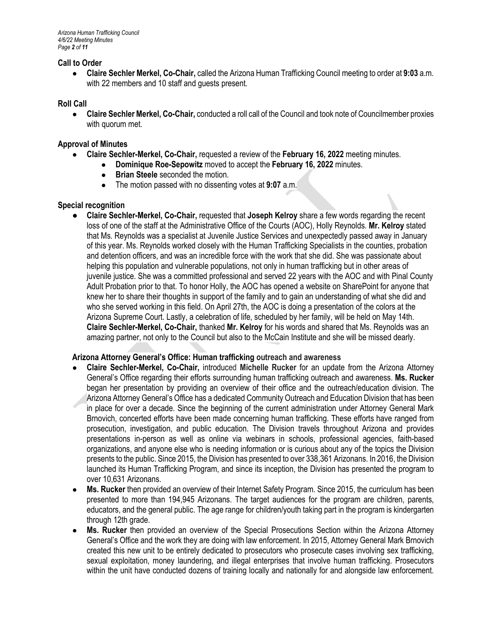# **Call to Order**

● **Claire Sechler Merkel, Co-Chair,** called the Arizona Human Trafficking Council meeting to order at **9:03** a.m. with 22 members and 10 staff and guests present.

#### **Roll Call**

● **Claire Sechler Merkel, Co-Chair,** conducted a roll call of the Council and took note of Councilmember proxies with quorum met.

#### **Approval of Minutes**

- **Claire Sechler-Merkel, Co-Chair,** requested a review of the **February 16, 2022** meeting minutes.
	- **Dominique Roe-Sepowitz** moved to accept the **February 16, 2022** minutes.
	- **Brian Steele** seconded the motion.<br>• The motion passed with no dissenting
	- The motion passed with no dissenting votes at **9:07** a.m.

### **Special recognition**

● **Claire Sechler-Merkel, Co-Chair,** requested that **Joseph Kelroy** share a few words regarding the recent loss of one of the staff at the Administrative Office of the Courts (AOC), Holly Reynolds. **Mr. Kelroy** stated that Ms. Reynolds was a specialist at Juvenile Justice Services and unexpectedly passed away in January of this year. Ms. Reynolds worked closely with the Human Trafficking Specialists in the counties, probation and detention officers, and was an incredible force with the work that she did. She was passionate about helping this population and vulnerable populations, not only in human trafficking but in other areas of juvenile justice. She was a committed professional and served 22 years with the AOC and with Pinal County Adult Probation prior to that. To honor Holly, the AOC has opened a website on SharePoint for anyone that knew her to share their thoughts in support of the family and to gain an understanding of what she did and who she served working in this field. On April 27th, the AOC is doing a presentation of the colors at the Arizona Supreme Court. Lastly, a celebration of life, scheduled by her family, will be held on May 14th. **Claire Sechler-Merkel, Co-Chair,** thanked **Mr. Kelroy** for his words and shared that Ms. Reynolds was an amazing partner, not only to the Council but also to the McCain Institute and she will be missed dearly.

## **Arizona Attorney General's Office: Human trafficking outreach and awareness**

- **Claire Sechler-Merkel, Co-Chair,** introduced **Michelle Rucker** for an update from the Arizona Attorney General's Office regarding their efforts surrounding human trafficking outreach and awareness. **Ms. Rucker**  began her presentation by providing an overview of their office and the outreach/education division. The Arizona Attorney General's Office has a dedicated Community Outreach and Education Division that has been in place for over a decade. Since the beginning of the current administration under Attorney General Mark Brnovich, concerted efforts have been made concerning human trafficking. These efforts have ranged from prosecution, investigation, and public education. The Division travels throughout Arizona and provides presentations in-person as well as online via webinars in schools, professional agencies, faith-based organizations, and anyone else who is needing information or is curious about any of the topics the Division presents to the public. Since 2015, the Division has presented to over 338,361 Arizonans. In 2016, the Division launched its Human Trafficking Program, and since its inception, the Division has presented the program to over 10,631 Arizonans.
- **Ms. Rucker** then provided an overview of their Internet Safety Program. Since 2015, the curriculum has been presented to more than 194,945 Arizonans. The target audiences for the program are children, parents, educators, and the general public. The age range for children/youth taking part in the program is kindergarten through 12th grade.
- **Ms. Rucker** then provided an overview of the Special Prosecutions Section within the Arizona Attorney General's Office and the work they are doing with law enforcement. In 2015, Attorney General Mark Brnovich created this new unit to be entirely dedicated to prosecutors who prosecute cases involving sex trafficking, sexual exploitation, money laundering, and illegal enterprises that involve human trafficking. Prosecutors within the unit have conducted dozens of training locally and nationally for and alongside law enforcement.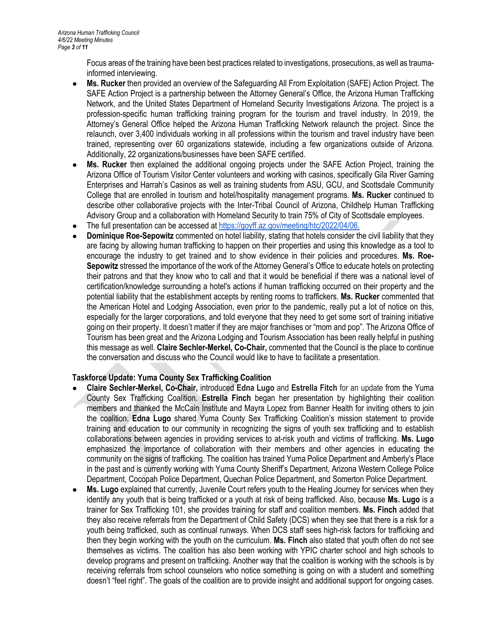Focus areas of the training have been best practices related to investigations, prosecutions, as well as traumainformed interviewing.

- **Ms. Rucker** then provided an overview of the Safeguarding All From Exploitation (SAFE) Action Project. The SAFE Action Project is a partnership between the Attorney General's Office, the Arizona Human Trafficking Network, and the United States Department of Homeland Security Investigations Arizona. The project is a profession-specific human trafficking training program for the tourism and travel industry. In 2019, the Attorney's General Office helped the Arizona Human Trafficking Network relaunch the project. Since the relaunch, over 3,400 individuals working in all professions within the tourism and travel industry have been trained, representing over 60 organizations statewide, including a few organizations outside of Arizona. Additionally, 22 organizations/businesses have been SAFE certified.
- **Ms. Rucker** then explained the additional ongoing projects under the SAFE Action Project, training the Arizona Office of Tourism Visitor Center volunteers and working with casinos, specifically Gila River Gaming Enterprises and Harrah's Casinos as well as training students from ASU, GCU, and Scottsdale Community College that are enrolled in tourism and hotel/hospitality management programs. **Ms. Rucker** continued to describe other collaborative projects with the Inter-Tribal Council of Arizona, Childhelp Human Trafficking Advisory Group and a collaboration with Homeland Security to train 75% of City of Scottsdale employees.
- The full presentation can be accessed a[t https://goyff.az.gov/meeting/htc/2022/04/06.](https://goyff.az.gov/meeting/htc/2022/02/16.)
- **Dominique Roe-Sepowitz** commented on hotel liability, stating that hotels consider the civil liability that they are facing by allowing human trafficking to happen on their properties and using this knowledge as a tool to encourage the industry to get trained and to show evidence in their policies and procedures. **Ms. Roe-Sepowitz** stressed the importance of the work of the Attorney General's Office to educate hotels on protecting their patrons and that they know who to call and that it would be beneficial if there was a national level of certification/knowledge surrounding a hotel's actions if human trafficking occurred on their property and the potential liability that the establishment accepts by renting rooms to traffickers. **Ms. Rucker** commented that the American Hotel and Lodging Association, even prior to the pandemic, really put a lot of notice on this, especially for the larger corporations, and told everyone that they need to get some sort of training initiative going on their property. It doesn't matter if they are major franchises or "mom and pop". The Arizona Office of Tourism has been great and the Arizona Lodging and Tourism Association has been really helpful in pushing this message as well. **Claire Sechler-Merkel, Co-Chair,** commented that the Council is the place to continue the conversation and discuss who the Council would like to have to facilitate a presentation.

# **Taskforce Update: Yuma County Sex Trafficking Coalition**

- **Claire Sechler-Merkel, Co-Chair,** introduced **Edna Lugo** and **Estrella Fitch** for an update from the Yuma County Sex Trafficking Coalition. **Estrella Finch** began her presentation by highlighting their coalition members and thanked the McCain Institute and Mayra Lopez from Banner Health for inviting others to join the coalition. **Edna Lugo** shared Yuma County Sex Trafficking Coalition's mission statement to provide training and education to our community in recognizing the signs of youth sex trafficking and to establish collaborations between agencies in providing services to at-risk youth and victims of trafficking. **Ms. Lugo** emphasized the importance of collaboration with their members and other agencies in educating the community on the signs of trafficking. The coalition has trained Yuma Police Department and Amberly's Place in the past and is currently working with Yuma County Sheriff's Department, Arizona Western College Police Department, Cocopah Police Department, Quechan Police Department, and Somerton Police Department.
- **Ms. Lugo** explained that currently, Juvenile Court refers youth to the Healing Journey for services when they identify any youth that is being trafficked or a youth at risk of being trafficked. Also, because **Ms. Lugo** is a trainer for Sex Trafficking 101, she provides training for staff and coalition members. **Ms. Finch** added that they also receive referrals from the Department of Child Safety (DCS) when they see that there is a risk for a youth being trafficked, such as continual runways. When DCS staff sees high-risk factors for trafficking and then they begin working with the youth on the curriculum. **Ms. Finch** also stated that youth often do not see themselves as victims. The coalition has also been working with YPIC charter school and high schools to develop programs and present on trafficking. Another way that the coalition is working with the schools is by receiving referrals from school counselors who notice something is going on with a student and something doesn't "feel right". The goals of the coalition are to provide insight and additional support for ongoing cases.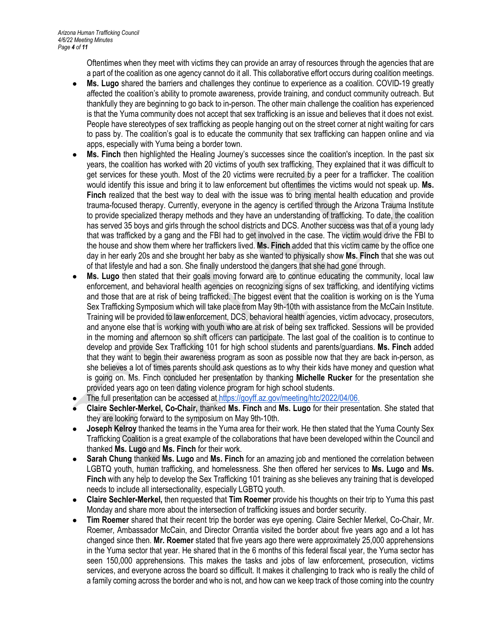Oftentimes when they meet with victims they can provide an array of resources through the agencies that are a part of the coalition as one agency cannot do it all. This collaborative effort occurs during coalition meetings.

- Ms. Lugo shared the barriers and challenges they continue to experience as a coalition. COVID-19 greatly affected the coalition's ability to promote awareness, provide training, and conduct community outreach. But thankfully they are beginning to go back to in-person. The other main challenge the coalition has experienced is that the Yuma community does not accept that sex trafficking is an issue and believes that it does not exist. People have stereotypes of sex trafficking as people hanging out on the street corner at night waiting for cars to pass by. The coalition's goal is to educate the community that sex trafficking can happen online and via apps, especially with Yuma being a border town.
- Ms. Finch then highlighted the Healing Journey's successes since the coalition's inception. In the past six years, the coalition has worked with 20 victims of youth sex trafficking. They explained that it was difficult to get services for these youth. Most of the 20 victims were recruited by a peer for a trafficker. The coalition would identify this issue and bring it to law enforcement but oftentimes the victims would not speak up. **Ms. Finch** realized that the best way to deal with the issue was to bring mental health education and provide trauma-focused therapy. Currently, everyone in the agency is certified through the Arizona Trauma Institute to provide specialized therapy methods and they have an understanding of trafficking. To date, the coalition has served 35 boys and girls through the school districts and DCS. Another success was that of a young lady that was trafficked by a gang and the FBI had to get involved in the case. The victim would drive the FBI to the house and show them where her traffickers lived. **Ms. Finch** added that this victim came by the office one day in her early 20s and she brought her baby as she wanted to physically show **Ms. Finch** that she was out of that lifestyle and had a son. She finally understood the dangers that she had gone through.
- **Ms. Lugo** then stated that their goals moving forward are to continue educating the community, local law enforcement, and behavioral health agencies on recognizing signs of sex trafficking, and identifying victims and those that are at risk of being trafficked. The biggest event that the coalition is working on is the Yuma Sex Trafficking Symposium which will take place from May 9th-10th with assistance from the McCain Institute. Training will be provided to law enforcement, DCS, behavioral health agencies, victim advocacy, prosecutors, and anyone else that is working with youth who are at risk of being sex trafficked. Sessions will be provided in the morning and afternoon so shift officers can participate. The last goal of the coalition is to continue to develop and provide Sex Trafficking 101 for high school students and parents/guardians. **Ms. Finch** added that they want to begin their awareness program as soon as possible now that they are back in-person, as she believes a lot of times parents should ask questions as to why their kids have money and question what is going on. Ms. Finch concluded her presentation by thanking **Michelle Rucker** for the presentation she provided years ago on teen dating violence program for high school students.
- The full presentation can be accessed a[t https://goyff.az.gov/meeting/htc/2022/04/06.](https://goyff.az.gov/meeting/htc/2022/02/16.)
- **Claire Sechler-Merkel, Co-Chair,** thanked **Ms. Finch** and **Ms. Lugo** for their presentation. She stated that they are looking forward to the symposium on May 9th-10th.
- **Joseph Kelroy** thanked the teams in the Yuma area for their work. He then stated that the Yuma County Sex Trafficking Coalition is a great example of the collaborations that have been developed within the Council and thanked **Ms. Lugo** and **Ms. Finch** for their work.
- **Sarah Chung** thanked Ms. Lugo and Ms. Finch for an amazing job and mentioned the correlation between LGBTQ youth, human trafficking, and homelessness. She then offered her services to **Ms. Lugo** and **Ms. Finch** with any help to develop the Sex Trafficking 101 training as she believes any training that is developed needs to include all intersectionality, especially LGBTQ youth.
- **Claire Sechler-Merkel,** then requested that **Tim Roemer** provide his thoughts on their trip to Yuma this past Monday and share more about the intersection of trafficking issues and border security.
- **Tim Roemer** shared that their recent trip the border was eye opening. Claire Sechler Merkel, Co-Chair, Mr. Roemer, Ambassador McCain, and Director Orrantia visited the border about five years ago and a lot has changed since then. **Mr. Roemer** stated that five years ago there were approximately 25,000 apprehensions in the Yuma sector that year. He shared that in the 6 months of this federal fiscal year, the Yuma sector has seen 150,000 apprehensions. This makes the tasks and jobs of law enforcement, prosecution, victims services, and everyone across the board so difficult. It makes it challenging to track who is really the child of a family coming across the border and who is not, and how can we keep track of those coming into the country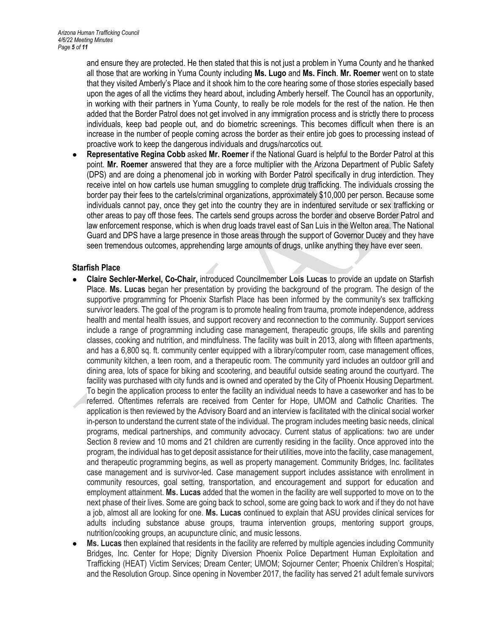and ensure they are protected. He then stated that this is not just a problem in Yuma County and he thanked all those that are working in Yuma County including **Ms. Lugo** and **Ms. Finch**. **Mr. Roemer** went on to state that they visited Amberly's Place and it shook him to the core hearing some of those stories especially based upon the ages of all the victims they heard about, including Amberly herself. The Council has an opportunity, in working with their partners in Yuma County, to really be role models for the rest of the nation. He then added that the Border Patrol does not get involved in any immigration process and is strictly there to process individuals, keep bad people out, and do biometric screenings. This becomes difficult when there is an increase in the number of people coming across the border as their entire job goes to processing instead of proactive work to keep the dangerous individuals and drugs/narcotics out.

**Representative Regina Cobb** asked Mr. Roemer if the National Guard is helpful to the Border Patrol at this point. **Mr. Roemer** answered that they are a force multiplier with the Arizona Department of Public Safety (DPS) and are doing a phenomenal job in working with Border Patrol specifically in drug interdiction. They receive intel on how cartels use human smuggling to complete drug trafficking. The individuals crossing the border pay their fees to the cartels/criminal organizations, approximately \$10,000 per person. Because some individuals cannot pay, once they get into the country they are in indentured servitude or sex trafficking or other areas to pay off those fees. The cartels send groups across the border and observe Border Patrol and law enforcement response, which is when drug loads travel east of San Luis in the Welton area. The National Guard and DPS have a large presence in those areas through the support of Governor Ducey and they have seen tremendous outcomes, apprehending large amounts of drugs, unlike anything they have ever seen.

### **Starfish Place**

- **Claire Sechler-Merkel, Co-Chair,** introduced Councilmember **Lois Lucas** to provide an update on Starfish Place. **Ms. Lucas** began her presentation by providing the background of the program. The design of the supportive programming for Phoenix Starfish Place has been informed by the community's sex trafficking survivor leaders. The goal of the program is to promote healing from trauma, promote independence, address health and mental health issues, and support recovery and reconnection to the community. Support services include a range of programming including case management, therapeutic groups, life skills and parenting classes, cooking and nutrition, and mindfulness. The facility was built in 2013, along with fifteen apartments, and has a 6,800 sq. ft. community center equipped with a library/computer room, case management offices, community kitchen, a teen room, and a therapeutic room. The community yard includes an outdoor grill and dining area, lots of space for biking and scootering, and beautiful outside seating around the courtyard. The facility was purchased with city funds and is owned and operated by the City of Phoenix Housing Department. To begin the application process to enter the facility an individual needs to have a caseworker and has to be referred. Oftentimes referrals are received from Center for Hope, UMOM and Catholic Charities. The application is then reviewed by the Advisory Board and an interview is facilitated with the clinical social worker in-person to understand the current state of the individual. The program includes meeting basic needs, clinical programs, medical partnerships, and community advocacy. Current status of applications: two are under Section 8 review and 10 moms and 21 children are currently residing in the facility. Once approved into the program, the individual has to get deposit assistance for their utilities, move into the facility, case management, and therapeutic programming begins, as well as property management. Community Bridges, Inc. facilitates case management and is survivor-led. Case management support includes assistance with enrollment in community resources, goal setting, transportation, and encouragement and support for education and employment attainment. **Ms. Lucas** added that the women in the facility are well supported to move on to the next phase of their lives. Some are going back to school, some are going back to work and if they do not have a job, almost all are looking for one. **Ms. Lucas** continued to explain that ASU provides clinical services for adults including substance abuse groups, trauma intervention groups, mentoring support groups, nutrition/cooking groups, an acupuncture clinic, and music lessons.
- **Ms. Lucas** then explained that residents in the facility are referred by multiple agencies including Community Bridges, Inc. Center for Hope; Dignity Diversion Phoenix Police Department Human Exploitation and Trafficking (HEAT) Victim Services; Dream Center; UMOM; Sojourner Center; Phoenix Children's Hospital; and the Resolution Group. Since opening in November 2017, the facility has served 21 adult female survivors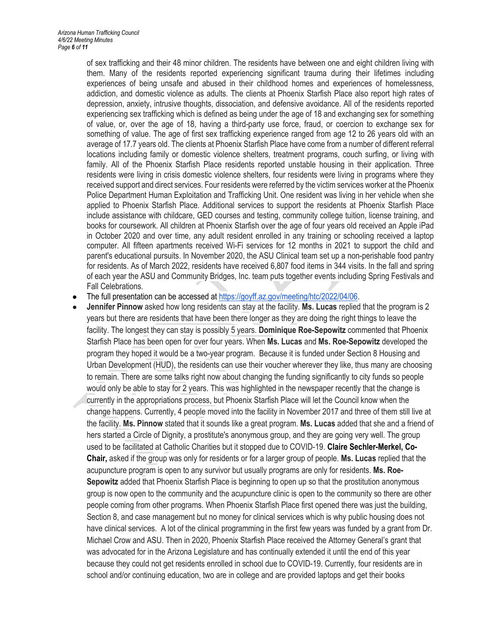of sex trafficking and their 48 minor children. The residents have between one and eight children living with them. Many of the residents reported experiencing significant trauma during their lifetimes including experiences of being unsafe and abused in their childhood homes and experiences of homelessness, addiction, and domestic violence as adults. The clients at Phoenix Starfish Place also report high rates of depression, anxiety, intrusive thoughts, dissociation, and defensive avoidance. All of the residents reported experiencing sex trafficking which is defined as being under the age of 18 and exchanging sex for something of value, or, over the age of 18, having a third-party use force, fraud, or coercion to exchange sex for something of value. The age of first sex trafficking experience ranged from age 12 to 26 years old with an average of 17.7 years old. The clients at Phoenix Starfish Place have come from a number of different referral locations including family or domestic violence shelters, treatment programs, couch surfing, or living with family. All of the Phoenix Starfish Place residents reported unstable housing in their application. Three residents were living in crisis domestic violence shelters, four residents were living in programs where they received support and direct services. Four residents were referred by the victim services worker at the Phoenix Police Department Human Exploitation and Trafficking Unit. One resident was living in her vehicle when she applied to Phoenix Starfish Place. Additional services to support the residents at Phoenix Starfish Place include assistance with childcare, GED courses and testing, community college tuition, license training, and books for coursework. All children at Phoenix Starfish over the age of four years old received an Apple iPad in October 2020 and over time, any adult resident enrolled in any training or schooling received a laptop computer. All fifteen apartments received Wi-Fi services for 12 months in 2021 to support the child and parent's educational pursuits. In November 2020, the ASU Clinical team set up a non-perishable food pantry for residents. As of March 2022, residents have received 6,807 food items in 344 visits. In the fall and spring of each year the ASU and Community Bridges, Inc. team puts together events including Spring Festivals and Fall Celebrations.

- The full presentation can be accessed a[t https://goyff.az.gov/meeting/htc/2022/04/06.](https://goyff.az.gov/meeting/htc/2022/02/16.)
- **Jennifer Pinnow** asked how long residents can stay at the facility. **Ms. Lucas** replied that the program is 2 years but there are residents that have been there longer as they are doing the right things to leave the facility. The longest they can stay is possibly 5 years. **Dominique Roe-Sepowitz** commented that Phoenix Starfish Place has been open for over four years. When **Ms. Lucas** and **Ms. Roe-Sepowitz** developed the program they hoped it would be a two-year program. Because it is funded under Section 8 Housing and Urban Development (HUD), the residents can use their voucher wherever they like, thus many are choosing to remain. There are some talks right now about changing the funding significantly to city funds so people would only be able to stay for 2 years. This was highlighted in the newspaper recently that the change is currently in the appropriations process, but Phoenix Starfish Place will let the Council know when the change happens. Currently, 4 people moved into the facility in November 2017 and three of them still live at the facility. **Ms. Pinnow** stated that it sounds like a great program. **Ms. Lucas** added that she and a friend of hers started a Circle of Dignity, a prostitute's anonymous group, and they are going very well. The group used to be facilitated at Catholic Charities but it stopped due to COVID-19. **Claire Sechler-Merkel, Co-Chair,** asked if the group was only for residents or for a larger group of people. **Ms. Lucas** replied that the acupuncture program is open to any survivor but usually programs are only for residents. **Ms. Roe-Sepowitz** added that Phoenix Starfish Place is beginning to open up so that the prostitution anonymous group is now open to the community and the acupuncture clinic is open to the community so there are other people coming from other programs. When Phoenix Starfish Place first opened there was just the building, Section 8, and case management but no money for clinical services which is why public housing does not have clinical services. A lot of the clinical programming in the first few years was funded by a grant from Dr. Michael Crow and ASU. Then in 2020, Phoenix Starfish Place received the Attorney General's grant that was advocated for in the Arizona Legislature and has continually extended it until the end of this year because they could not get residents enrolled in school due to COVID-19. Currently, four residents are in school and/or continuing education, two are in college and are provided laptops and get their books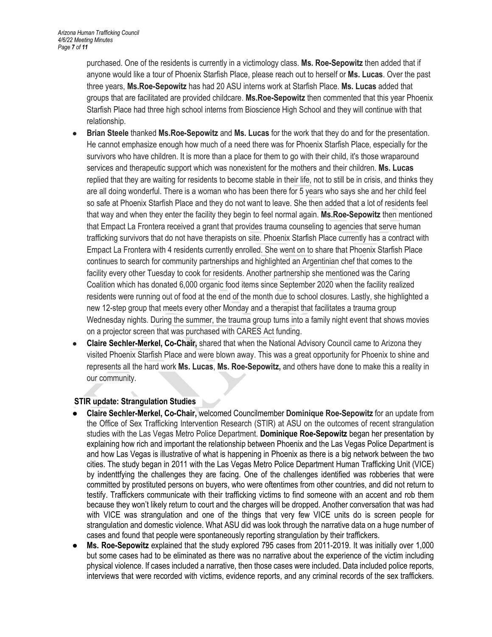purchased. One of the residents is currently in a victimology class. **Ms. Roe-Sepowitz** then added that if anyone would like a tour of Phoenix Starfish Place, please reach out to herself or **Ms. Lucas**. Over the past three years, **Ms.Roe-Sepowitz** has had 20 ASU interns work at Starfish Place. **Ms. Lucas** added that groups that are facilitated are provided childcare. **Ms.Roe-Sepowitz** then commented that this year Phoenix Starfish Place had three high school interns from Bioscience High School and they will continue with that relationship.

- **Brian Steele** thanked **Ms.Roe-Sepowitz** and **Ms. Lucas** for the work that they do and for the presentation. He cannot emphasize enough how much of a need there was for Phoenix Starfish Place, especially for the survivors who have children. It is more than a place for them to go with their child, it's those wraparound services and therapeutic support which was nonexistent for the mothers and their children. **Ms. Lucas**  replied that they are waiting for residents to become stable in their life, not to still be in crisis, and thinks they are all doing wonderful. There is a woman who has been there for 5 years who says she and her child feel so safe at Phoenix Starfish Place and they do not want to leave. She then added that a lot of residents feel that way and when they enter the facility they begin to feel normal again. **Ms.Roe-Sepowitz** then mentioned that Empact La Frontera received a grant that provides trauma counseling to agencies that serve human trafficking survivors that do not have therapists on site. Phoenix Starfish Place currently has a contract with Empact La Frontera with 4 residents currently enrolled. She went on to share that Phoenix Starfish Place continues to search for community partnerships and highlighted an Argentinian chef that comes to the facility every other Tuesday to cook for residents. Another partnership she mentioned was the Caring Coalition which has donated 6,000 organic food items since September 2020 when the facility realized residents were running out of food at the end of the month due to school closures. Lastly, she highlighted a new 12-step group that meets every other Monday and a therapist that facilitates a trauma group Wednesday nights. During the summer, the trauma group turns into a family night event that shows movies on a projector screen that was purchased with CARES Act funding.
- **Claire Sechler-Merkel, Co-Chair,** shared that when the National Advisory Council came to Arizona they visited Phoenix Starfish Place and were blown away. This was a great opportunity for Phoenix to shine and represents all the hard work **Ms. Lucas**, **Ms. Roe-Sepowitz,** and others have done to make this a reality in our community.

# **STIR update: Strangulation Studies**

- **Claire Sechler-Merkel, Co-Chair,** welcomed Councilmember **Dominique Roe-Sepowitz** for an update from the Office of Sex Trafficking Intervention Research (STIR) at ASU on the outcomes of recent strangulation studies with the Las Vegas Metro Police Department. **Dominique Roe-Sepowitz** began her presentation by explaining how rich and important the relationship between Phoenix and the Las Vegas Police Department is and how Las Vegas is illustrative of what is happening in Phoenix as there is a big network between the two cities. The study began in 2011 with the Las Vegas Metro Police Department Human Trafficking Unit (VICE) by indenttfying the challenges they are facing. One of the challenges identified was robberies that were committed by prostituted persons on buyers, who were oftentimes from other countries, and did not return to testify. Traffickers communicate with their trafficking victims to find someone with an accent and rob them because they won't likely return to court and the charges will be dropped. Another conversation that was had with VICE was strangulation and one of the things that very few VICE units do is screen people for strangulation and domestic violence. What ASU did was look through the narrative data on a huge number of cases and found that people were spontaneously reporting strangulation by their traffickers.
- **Ms. Roe-Sepowitz** explained that the study explored 795 cases from 2011-2019. It was initially over 1,000 but some cases had to be eliminated as there was no narrative about the experience of the victim including physical violence. If cases included a narrative, then those cases were included. Data included police reports, interviews that were recorded with victims, evidence reports, and any criminal records of the sex traffickers.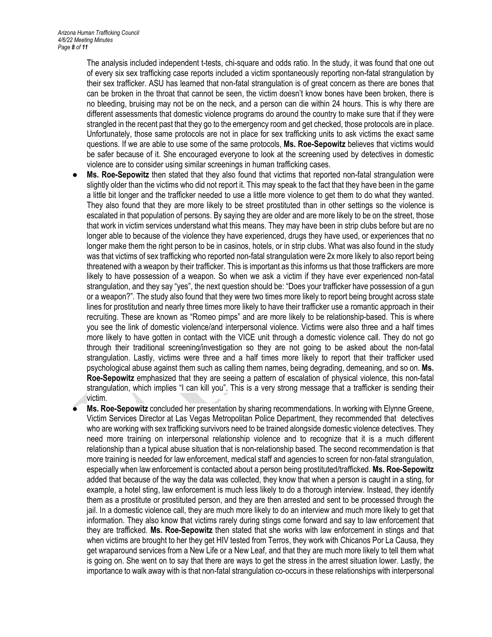The analysis included independent t-tests, chi-square and odds ratio. In the study, it was found that one out of every six sex trafficking case reports included a victim spontaneously reporting non-fatal strangulation by their sex trafficker. ASU has learned that non-fatal strangulation is of great concern as there are bones that can be broken in the throat that cannot be seen, the victim doesn't know bones have been broken, there is no bleeding, bruising may not be on the neck, and a person can die within 24 hours. This is why there are different assessments that domestic violence programs do around the country to make sure that if they were strangled in the recent past that they go to the emergency room and get checked, those protocols are in place. Unfortunately, those same protocols are not in place for sex trafficking units to ask victims the exact same questions. If we are able to use some of the same protocols, **Ms. Roe-Sepowitz** believes that victims would be safer because of it. She encouraged everyone to look at the screening used by detectives in domestic violence are to consider using similar screenings in human trafficking cases.

- **Ms. Roe-Sepowitz** then stated that they also found that victims that reported non-fatal strangulation were slightly older than the victims who did not report it. This may speak to the fact that they have been in the game a little bit longer and the trafficker needed to use a little more violence to get them to do what they wanted. They also found that they are more likely to be street prostituted than in other settings so the violence is escalated in that population of persons. By saying they are older and are more likely to be on the street, those that work in victim services understand what this means. They may have been in strip clubs before but are no longer able to because of the violence they have experienced, drugs they have used, or experiences that no longer make them the right person to be in casinos, hotels, or in strip clubs. What was also found in the study was that victims of sex trafficking who reported non-fatal strangulation were 2x more likely to also report being threatened with a weapon by their trafficker. This is important as this informs us that those traffickers are more likely to have possession of a weapon. So when we ask a victim if they have ever experienced non-fatal strangulation, and they say "yes", the next question should be: "Does your trafficker have possession of a gun or a weapon?". The study also found that they were two times more likely to report being brought across state lines for prostitution and nearly three times more likely to have their trafficker use a romantic approach in their recruiting. These are known as "Romeo pimps" and are more likely to be relationship-based. This is where you see the link of domestic violence/and interpersonal violence. Victims were also three and a half times more likely to have gotten in contact with the VICE unit through a domestic violence call. They do not go through their traditional screening/investigation so they are not going to be asked about the non-fatal strangulation. Lastly, victims were three and a half times more likely to report that their trafficker used psychological abuse against them such as calling them names, being degrading, demeaning, and so on. **Ms. Roe-Sepowitz** emphasized that they are seeing a pattern of escalation of physical violence, this non-fatal strangulation, which implies "I can kill you". This is a very strong message that a trafficker is sending their victim.
- **Ms. Roe-Sepowitz** concluded her presentation by sharing recommendations. In working with Elynne Greene, Victim Services Director at Las Vegas Metropolitan Police Department, they recommended that detectives who are working with sex trafficking survivors need to be trained alongside domestic violence detectives. They need more training on interpersonal relationship violence and to recognize that it is a much different relationship than a typical abuse situation that is non-relationship based. The second recommendation is that more training is needed for law enforcement, medical staff and agencies to screen for non-fatal strangulation, especially when law enforcement is contacted about a person being prostituted/trafficked. **Ms. Roe-Sepowitz**  added that because of the way the data was collected, they know that when a person is caught in a sting, for example, a hotel sting, law enforcement is much less likely to do a thorough interview. Instead, they identify them as a prostitute or prostituted person, and they are then arrested and sent to be processed through the jail. In a domestic violence call, they are much more likely to do an interview and much more likely to get that information. They also know that victims rarely during stings come forward and say to law enforcement that they are trafficked. **Ms. Roe-Sepowitz** then stated that she works with law enforcement in stings and that when victims are brought to her they get HIV tested from Terros, they work with Chicanos Por La Causa, they get wraparound services from a New Life or a New Leaf, and that they are much more likely to tell them what is going on. She went on to say that there are ways to get the stress in the arrest situation lower. Lastly, the importance to walk away with is that non-fatal strangulation co-occurs in these relationships with interpersonal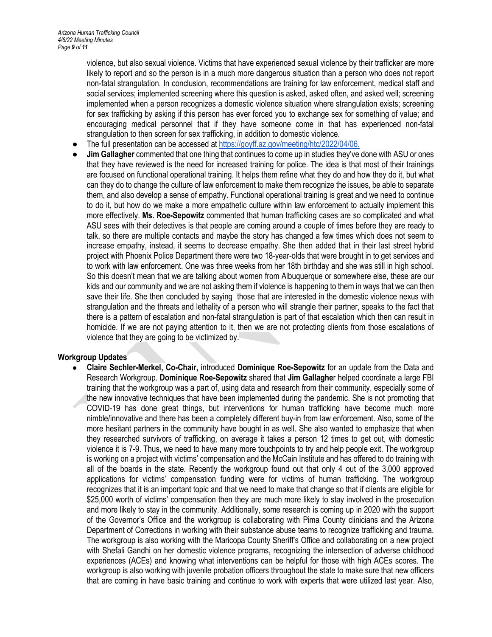violence, but also sexual violence. Victims that have experienced sexual violence by their trafficker are more likely to report and so the person is in a much more dangerous situation than a person who does not report non-fatal strangulation. In conclusion, recommendations are training for law enforcement, medical staff and social services; implemented screening where this question is asked, asked often, and asked well; screening implemented when a person recognizes a domestic violence situation where strangulation exists; screening for sex trafficking by asking if this person has ever forced you to exchange sex for something of value; and encouraging medical personnel that if they have someone come in that has experienced non-fatal strangulation to then screen for sex trafficking, in addition to domestic violence.

- The full presentation can be accessed a[t https://goyff.az.gov/meeting/htc/2022/04/06.](https://goyff.az.gov/meeting/htc/2022/02/16.)
- **Jim Gallagher** commented that one thing that continues to come up in studies they've done with ASU or ones that they have reviewed is the need for increased training for police. The idea is that most of their trainings are focused on functional operational training. It helps them refine what they do and how they do it, but what can they do to change the culture of law enforcement to make them recognize the issues, be able to separate them, and also develop a sense of empathy. Functional operational training is great and we need to continue to do it, but how do we make a more empathetic culture within law enforcement to actually implement this more effectively. **Ms. Roe-Sepowitz** commented that human trafficking cases are so complicated and what ASU sees with their detectives is that people are coming around a couple of times before they are ready to talk, so there are multiple contacts and maybe the story has changed a few times which does not seem to increase empathy, instead, it seems to decrease empathy. She then added that in their last street hybrid project with Phoenix Police Department there were two 18-year-olds that were brought in to get services and to work with law enforcement. One was three weeks from her 18th birthday and she was still in high school. So this doesn't mean that we are talking about women from Albuquerque or somewhere else, these are our kids and our community and we are not asking them if violence is happening to them in ways that we can then save their life. She then concluded by saying those that are interested in the domestic violence nexus with strangulation and the threats and lethality of a person who will strangle their partner, speaks to the fact that there is a pattern of escalation and non-fatal strangulation is part of that escalation which then can result in homicide. If we are not paying attention to it, then we are not protecting clients from those escalations of violence that they are going to be victimized by.

## **Workgroup Updates**

● **Claire Sechler-Merkel, Co-Chair,** introduced **Dominique Roe-Sepowitz** for an update from the Data and Research Workgroup. **Dominique Roe-Sepowitz** shared that **Jim Gallaghe**r helped coordinate a large FBI training that the workgroup was a part of, using data and research from their community, especially some of the new innovative techniques that have been implemented during the pandemic. She is not promoting that COVID-19 has done great things, but interventions for human trafficking have become much more nimble/innovative and there has been a completely different buy-in from law enforcement. Also, some of the more hesitant partners in the community have bought in as well. She also wanted to emphasize that when they researched survivors of trafficking, on average it takes a person 12 times to get out, with domestic violence it is 7-9. Thus, we need to have many more touchpoints to try and help people exit. The workgroup is working on a project with victims' compensation and the McCain Institute and has offered to do training with all of the boards in the state. Recently the workgroup found out that only 4 out of the 3,000 approved applications for victims' compensation funding were for victims of human trafficking. The workgroup recognizes that it is an important topic and that we need to make that change so that if clients are eligible for \$25,000 worth of victims' compensation then they are much more likely to stay involved in the prosecution and more likely to stay in the community. Additionally, some research is coming up in 2020 with the support of the Governor's Office and the workgroup is collaborating with Pima County clinicians and the Arizona Department of Corrections in working with their substance abuse teams to recognize trafficking and trauma. The workgroup is also working with the Maricopa County Sheriff's Office and collaborating on a new project with Shefali Gandhi on her domestic violence programs, recognizing the intersection of adverse childhood experiences (ACEs) and knowing what interventions can be helpful for those with high ACEs scores. The workgroup is also working with juvenile probation officers throughout the state to make sure that new officers that are coming in have basic training and continue to work with experts that were utilized last year. Also,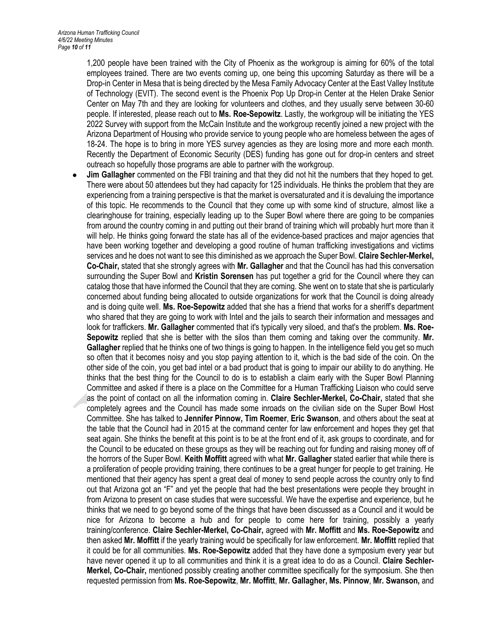1,200 people have been trained with the City of Phoenix as the workgroup is aiming for 60% of the total employees trained. There are two events coming up, one being this upcoming Saturday as there will be a Drop-in Center in Mesa that is being directed by the Mesa Family Advocacy Center at the East Valley Institute of Technology (EVIT). The second event is the Phoenix Pop Up Drop-in Center at the Helen Drake Senior Center on May 7th and they are looking for volunteers and clothes, and they usually serve between 30-60 people. If interested, please reach out to **Ms. Roe-Sepowitz**. Lastly, the workgroup will be initiating the YES 2022 Survey with support from the McCain Institute and the workgroup recently joined a new project with the Arizona Department of Housing who provide service to young people who are homeless between the ages of 18-24. The hope is to bring in more YES survey agencies as they are losing more and more each month. Recently the Department of Economic Security (DES) funding has gone out for drop-in centers and street outreach so hopefully those programs are able to partner with the workgroup.

**Jim Gallagher** commented on the FBI training and that they did not hit the numbers that they hoped to get. There were about 50 attendees but they had capacity for 125 individuals. He thinks the problem that they are experiencing from a training perspective is that the market is oversaturated and it is devaluing the importance of this topic. He recommends to the Council that they come up with some kind of structure, almost like a clearinghouse for training, especially leading up to the Super Bowl where there are going to be companies from around the country coming in and putting out their brand of training which will probably hurt more than it will help. He thinks going forward the state has all of the evidence-based practices and major agencies that have been working together and developing a good routine of human trafficking investigations and victims services and he does not want to see this diminished as we approach the Super Bowl. **Claire Sechler-Merkel, Co-Chair,** stated that she strongly agrees with **Mr. Gallagher** and that the Council has had this conversation surrounding the Super Bowl and **Kristin Sorensen** has put together a grid for the Council where they can catalog those that have informed the Council that they are coming. She went on to state that she is particularly concerned about funding being allocated to outside organizations for work that the Council is doing already and is doing quite well. **Ms. Roe-Sepowitz** added that she has a friend that works for a sheriff's department who shared that they are going to work with Intel and the jails to search their information and messages and look for traffickers. **Mr. Gallagher** commented that it's typically very siloed, and that's the problem. **Ms. Roe-Sepowitz** replied that she is better with the silos than them coming and taking over the community. **Mr. Gallagher** replied that he thinks one of two things is going to happen. In the intelligence field you get so much so often that it becomes noisy and you stop paying attention to it, which is the bad side of the coin. On the other side of the coin, you get bad intel or a bad product that is going to impair our ability to do anything. He thinks that the best thing for the Council to do is to establish a claim early with the Super Bowl Planning Committee and asked if there is a place on the Committee for a Human Trafficking Liaison who could serve as the point of contact on all the information coming in. **Claire Sechler-Merkel, Co-Chair,** stated that she completely agrees and the Council has made some inroads on the civilian side on the Super Bowl Host Committee. She has talked to **Jennifer Pinnow, Tim Roemer**, **Eric Swanson**, and others about the seat at the table that the Council had in 2015 at the command center for law enforcement and hopes they get that seat again. She thinks the benefit at this point is to be at the front end of it, ask groups to coordinate, and for the Council to be educated on these groups as they will be reaching out for funding and raising money off of the horrors of the Super Bowl. **Keith Moffitt** agreed with what **Mr. Gallagher** stated earlier that while there is a proliferation of people providing training, there continues to be a great hunger for people to get training. He mentioned that their agency has spent a great deal of money to send people across the country only to find out that Arizona got an "F" and yet the people that had the best presentations were people they brought in from Arizona to present on case studies that were successful. We have the expertise and experience, but he thinks that we need to go beyond some of the things that have been discussed as a Council and it would be nice for Arizona to become a hub and for people to come here for training, possibly a yearly training/conference. **Claire Sechler-Merkel, Co-Chair,** agreed with **Mr. Moffitt** and **Ms. Roe-Sepowitz** and then asked **Mr. Moffitt** if the yearly training would be specifically for law enforcement. **Mr. Moffitt** replied that it could be for all communities. **Ms. Roe-Sepowitz** added that they have done a symposium every year but have never opened it up to all communities and think it is a great idea to do as a Council. **Claire Sechler-Merkel, Co-Chair,** mentioned possibly creating another committee specifically for the symposium. She then requested permission from **Ms. Roe-Sepowitz**, **Mr. Moffitt**, **Mr. Gallagher, Ms. Pinnow**, **Mr. Swanson,** and